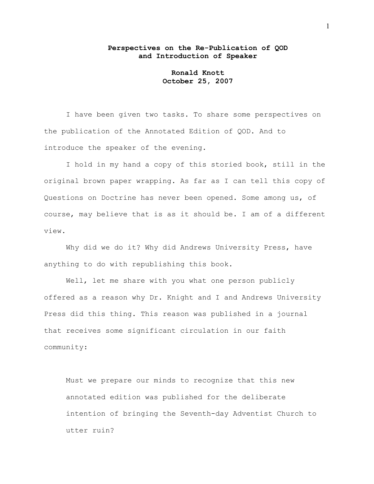## Perspectives on the Re-Publication of QOD and Introduction of Speaker

Ronald Knott October 25, 2007

I have been given two tasks. To share some perspectives on the publication of the Annotated Edition of QOD. And to introduce the speaker of the evening.

I hold in my hand a copy of this storied book, still in the original brown paper wrapping. As far as I can tell this copy of Questions on Doctrine has never been opened. Some among us, of course, may believe that is as it should be. I am of a different view.

Why did we do it? Why did Andrews University Press, have anything to do with republishing this book.

Well, let me share with you what one person publicly offered as a reason why Dr. Knight and I and Andrews University Press did this thing. This reason was published in a journal that receives some significant circulation in our faith community:

Must we prepare our minds to recognize that this new annotated edition was published for the deliberate intention of bringing the Seventh-day Adventist Church to utter ruin?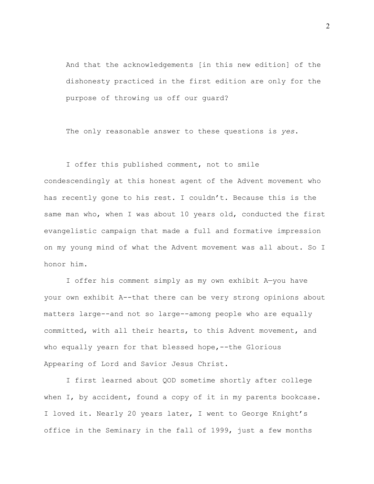And that the acknowledgements [in this new edition] of the dishonesty practiced in the first edition are only for the purpose of throwing us off our guard?

The only reasonable answer to these questions is yes.

I offer this published comment, not to smile condescendingly at this honest agent of the Advent movement who has recently gone to his rest. I couldn't. Because this is the same man who, when I was about 10 years old, conducted the first evangelistic campaign that made a full and formative impression on my young mind of what the Advent movement was all about. So I honor him.

I offer his comment simply as my own exhibit A—you have your own exhibit A--that there can be very strong opinions about matters large--and not so large--among people who are equally committed, with all their hearts, to this Advent movement, and who equally yearn for that blessed hope, --the Glorious Appearing of Lord and Savior Jesus Christ.

I first learned about QOD sometime shortly after college when I, by accident, found a copy of it in my parents bookcase. I loved it. Nearly 20 years later, I went to George Knight's office in the Seminary in the fall of 1999, just a few months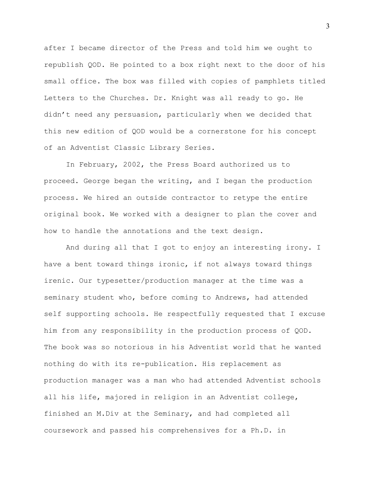after I became director of the Press and told him we ought to republish QOD. He pointed to a box right next to the door of his small office. The box was filled with copies of pamphlets titled Letters to the Churches. Dr. Knight was all ready to go. He didn't need any persuasion, particularly when we decided that this new edition of QOD would be a cornerstone for his concept of an Adventist Classic Library Series.

In February, 2002, the Press Board authorized us to proceed. George began the writing, and I began the production process. We hired an outside contractor to retype the entire original book. We worked with a designer to plan the cover and how to handle the annotations and the text design.

And during all that I got to enjoy an interesting irony. I have a bent toward things ironic, if not always toward things irenic. Our typesetter/production manager at the time was a seminary student who, before coming to Andrews, had attended self supporting schools. He respectfully requested that I excuse him from any responsibility in the production process of QOD. The book was so notorious in his Adventist world that he wanted nothing do with its re-publication. His replacement as production manager was a man who had attended Adventist schools all his life, majored in religion in an Adventist college, finished an M.Div at the Seminary, and had completed all coursework and passed his comprehensives for a Ph.D. in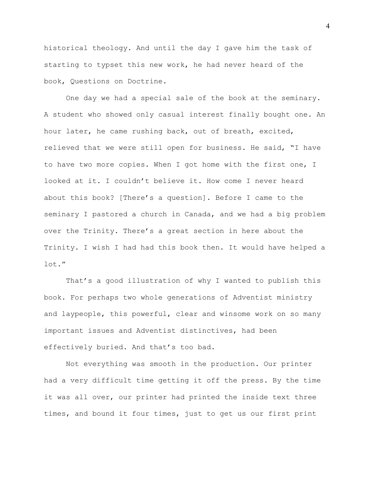historical theology. And until the day I gave him the task of starting to typset this new work, he had never heard of the book, Questions on Doctrine.

One day we had a special sale of the book at the seminary. A student who showed only casual interest finally bought one. An hour later, he came rushing back, out of breath, excited, relieved that we were still open for business. He said, "I have to have two more copies. When I got home with the first one, I looked at it. I couldn't believe it. How come I never heard about this book? [There's a question]. Before I came to the seminary I pastored a church in Canada, and we had a big problem over the Trinity. There's a great section in here about the Trinity. I wish I had had this book then. It would have helped a lot."

That's a good illustration of why I wanted to publish this book. For perhaps two whole generations of Adventist ministry and laypeople, this powerful, clear and winsome work on so many important issues and Adventist distinctives, had been effectively buried. And that's too bad.

Not everything was smooth in the production. Our printer had a very difficult time getting it off the press. By the time it was all over, our printer had printed the inside text three times, and bound it four times, just to get us our first print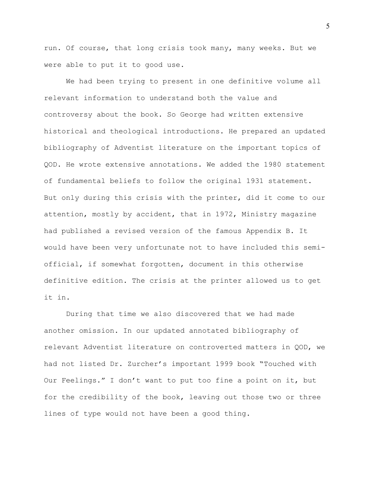run. Of course, that long crisis took many, many weeks. But we were able to put it to good use.

We had been trying to present in one definitive volume all relevant information to understand both the value and controversy about the book. So George had written extensive historical and theological introductions. He prepared an updated bibliography of Adventist literature on the important topics of QOD. He wrote extensive annotations. We added the 1980 statement of fundamental beliefs to follow the original 1931 statement. But only during this crisis with the printer, did it come to our attention, mostly by accident, that in 1972, Ministry magazine had published a revised version of the famous Appendix B. It would have been very unfortunate not to have included this semiofficial, if somewhat forgotten, document in this otherwise definitive edition. The crisis at the printer allowed us to get it in.

During that time we also discovered that we had made another omission. In our updated annotated bibliography of relevant Adventist literature on controverted matters in QOD, we had not listed Dr. Zurcher's important 1999 book "Touched with Our Feelings." I don't want to put too fine a point on it, but for the credibility of the book, leaving out those two or three lines of type would not have been a good thing.

5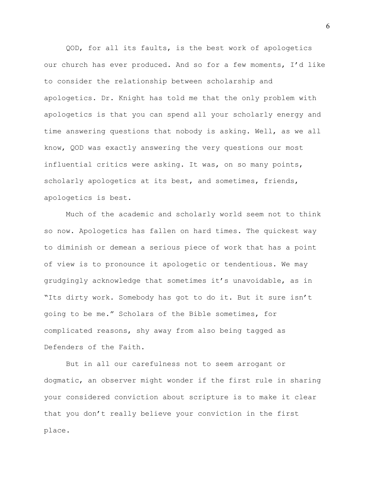QOD, for all its faults, is the best work of apologetics our church has ever produced. And so for a few moments, I'd like to consider the relationship between scholarship and apologetics. Dr. Knight has told me that the only problem with apologetics is that you can spend all your scholarly energy and time answering questions that nobody is asking. Well, as we all know, QOD was exactly answering the very questions our most influential critics were asking. It was, on so many points, scholarly apologetics at its best, and sometimes, friends, apologetics is best.

Much of the academic and scholarly world seem not to think so now. Apologetics has fallen on hard times. The quickest way to diminish or demean a serious piece of work that has a point of view is to pronounce it apologetic or tendentious. We may grudgingly acknowledge that sometimes it's unavoidable, as in "Its dirty work. Somebody has got to do it. But it sure isn't going to be me." Scholars of the Bible sometimes, for complicated reasons, shy away from also being tagged as Defenders of the Faith.

But in all our carefulness not to seem arrogant or dogmatic, an observer might wonder if the first rule in sharing your considered conviction about scripture is to make it clear that you don't really believe your conviction in the first place.

6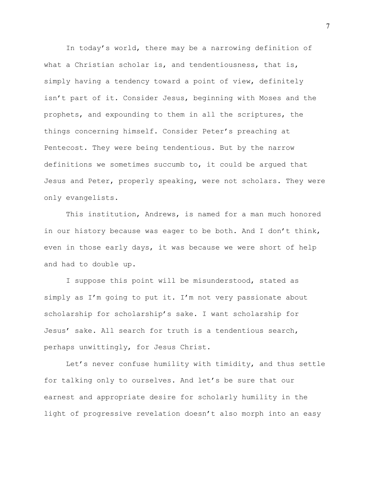In today's world, there may be a narrowing definition of what a Christian scholar is, and tendentiousness, that is, simply having a tendency toward a point of view, definitely isn't part of it. Consider Jesus, beginning with Moses and the prophets, and expounding to them in all the scriptures, the things concerning himself. Consider Peter's preaching at Pentecost. They were being tendentious. But by the narrow definitions we sometimes succumb to, it could be argued that Jesus and Peter, properly speaking, were not scholars. They were only evangelists.

This institution, Andrews, is named for a man much honored in our history because was eager to be both. And I don't think, even in those early days, it was because we were short of help and had to double up.

I suppose this point will be misunderstood, stated as simply as I'm going to put it. I'm not very passionate about scholarship for scholarship's sake. I want scholarship for Jesus' sake. All search for truth is a tendentious search, perhaps unwittingly, for Jesus Christ.

Let's never confuse humility with timidity, and thus settle for talking only to ourselves. And let's be sure that our earnest and appropriate desire for scholarly humility in the light of progressive revelation doesn't also morph into an easy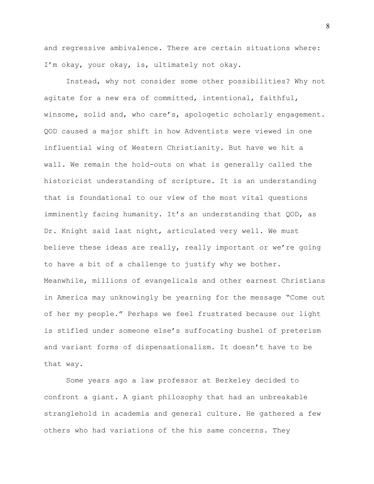and regressive ambivalence. There are certain situations where: I'm okay, your okay, is, ultimately not okay.

Instead, why not consider some other possibilities? Why not agitate for a new era of committed, intentional, faithful, winsome, solid and, who care's, apologetic scholarly engagement. QOD caused a major shift in how Adventists were viewed in one influential wing of Western Christianity. But have we hit a wall. We remain the hold-outs on what is generally called the historicist understanding of scripture. It is an understanding that is foundational to our view of the most vital questions imminently facing humanity. It's an understanding that QOD, as Dr. Knight said last night, articulated very well. We must believe these ideas are really, really important or we're going to have a bit of a challenge to justify why we bother. Meanwhile, millions of evangelicals and other earnest Christians in America may unknowingly be yearning for the message "Come out of her my people." Perhaps we feel frustrated because our light is stifled under someone else's suffocating bushel of preterism and variant forms of dispensationalism. It doesn't have to be that way.

Some years ago a law professor at Berkeley decided to confront a giant. A giant philosophy that had an unbreakable stranglehold in academia and general culture. He gathered a few others who had variations of the his same concerns. They

8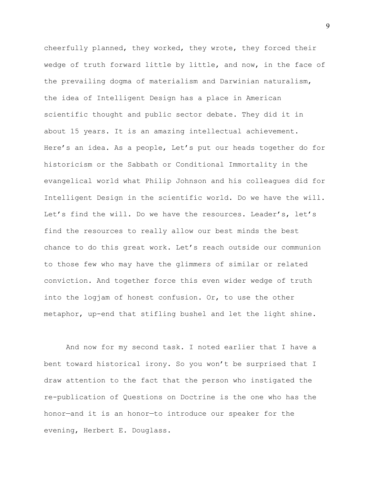cheerfully planned, they worked, they wrote, they forced their wedge of truth forward little by little, and now, in the face of the prevailing dogma of materialism and Darwinian naturalism, the idea of Intelligent Design has a place in American scientific thought and public sector debate. They did it in about 15 years. It is an amazing intellectual achievement. Here's an idea. As a people, Let's put our heads together do for historicism or the Sabbath or Conditional Immortality in the evangelical world what Philip Johnson and his colleagues did for Intelligent Design in the scientific world. Do we have the will. Let's find the will. Do we have the resources. Leader's, let's find the resources to really allow our best minds the best chance to do this great work. Let's reach outside our communion to those few who may have the glimmers of similar or related conviction. And together force this even wider wedge of truth into the logjam of honest confusion. Or, to use the other metaphor, up-end that stifling bushel and let the light shine.

And now for my second task. I noted earlier that I have a bent toward historical irony. So you won't be surprised that I draw attention to the fact that the person who instigated the re-publication of Questions on Doctrine is the one who has the honor—and it is an honor—to introduce our speaker for the evening, Herbert E. Douglass.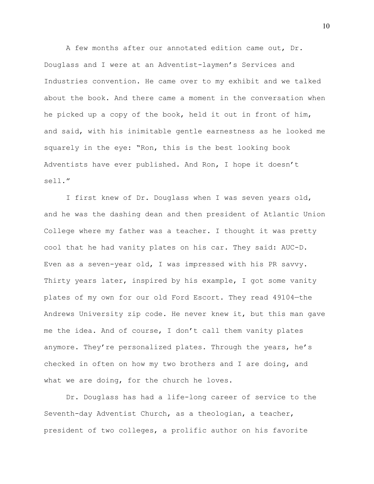A few months after our annotated edition came out, Dr. Douglass and I were at an Adventist-laymen's Services and Industries convention. He came over to my exhibit and we talked about the book. And there came a moment in the conversation when he picked up a copy of the book, held it out in front of him, and said, with his inimitable gentle earnestness as he looked me squarely in the eye: "Ron, this is the best looking book Adventists have ever published. And Ron, I hope it doesn't sell."

I first knew of Dr. Douglass when I was seven years old, and he was the dashing dean and then president of Atlantic Union College where my father was a teacher. I thought it was pretty cool that he had vanity plates on his car. They said: AUC-D. Even as a seven-year old, I was impressed with his PR savvy. Thirty years later, inspired by his example, I got some vanity plates of my own for our old Ford Escort. They read 49104—the Andrews University zip code. He never knew it, but this man gave me the idea. And of course, I don't call them vanity plates anymore. They're personalized plates. Through the years, he's checked in often on how my two brothers and I are doing, and what we are doing, for the church he loves.

Dr. Douglass has had a life-long career of service to the Seventh-day Adventist Church, as a theologian, a teacher, president of two colleges, a prolific author on his favorite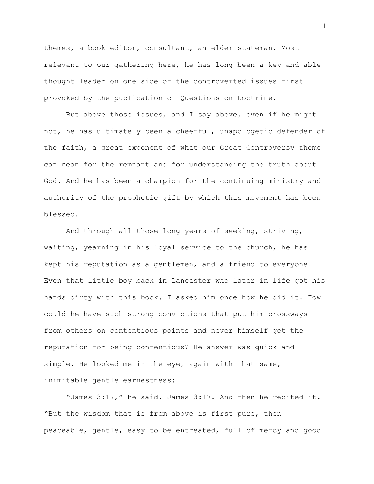themes, a book editor, consultant, an elder stateman. Most relevant to our gathering here, he has long been a key and able thought leader on one side of the controverted issues first provoked by the publication of Questions on Doctrine.

But above those issues, and I say above, even if he might not, he has ultimately been a cheerful, unapologetic defender of the faith, a great exponent of what our Great Controversy theme can mean for the remnant and for understanding the truth about God. And he has been a champion for the continuing ministry and authority of the prophetic gift by which this movement has been blessed.

And through all those long years of seeking, striving, waiting, yearning in his loyal service to the church, he has kept his reputation as a gentlemen, and a friend to everyone. Even that little boy back in Lancaster who later in life got his hands dirty with this book. I asked him once how he did it. How could he have such strong convictions that put him crossways from others on contentious points and never himself get the reputation for being contentious? He answer was quick and simple. He looked me in the eye, again with that same, inimitable gentle earnestness:

"James 3:17," he said. James 3:17. And then he recited it. "But the wisdom that is from above is first pure, then peaceable, gentle, easy to be entreated, full of mercy and good